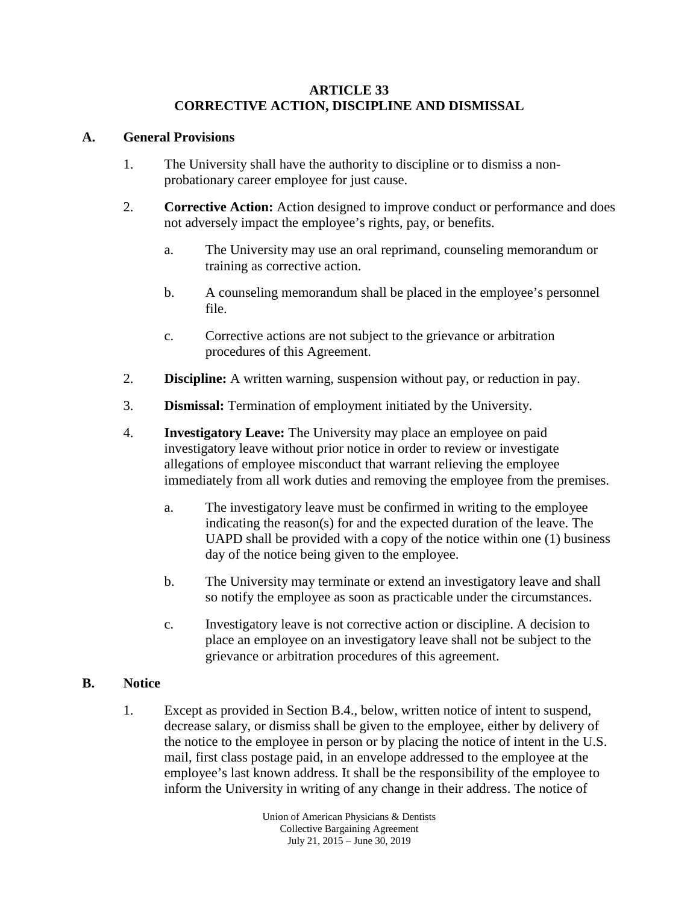#### **ARTICLE 33 CORRECTIVE ACTION, DISCIPLINE AND DISMISSAL**

#### **A. General Provisions**

- 1. The University shall have the authority to discipline or to dismiss a nonprobationary career employee for just cause.
- 2. **Corrective Action:** Action designed to improve conduct or performance and does not adversely impact the employee's rights, pay, or benefits.
	- a. The University may use an oral reprimand, counseling memorandum or training as corrective action.
	- b. A counseling memorandum shall be placed in the employee's personnel file.
	- c. Corrective actions are not subject to the grievance or arbitration procedures of this Agreement.
- 2. **Discipline:** A written warning, suspension without pay, or reduction in pay.
- 3. **Dismissal:** Termination of employment initiated by the University.
- 4. **Investigatory Leave:** The University may place an employee on paid investigatory leave without prior notice in order to review or investigate allegations of employee misconduct that warrant relieving the employee immediately from all work duties and removing the employee from the premises.
	- a. The investigatory leave must be confirmed in writing to the employee indicating the reason(s) for and the expected duration of the leave. The UAPD shall be provided with a copy of the notice within one (1) business day of the notice being given to the employee.
	- b. The University may terminate or extend an investigatory leave and shall so notify the employee as soon as practicable under the circumstances.
	- c. Investigatory leave is not corrective action or discipline. A decision to place an employee on an investigatory leave shall not be subject to the grievance or arbitration procedures of this agreement.

## **B. Notice**

1. Except as provided in Section B.4., below, written notice of intent to suspend, decrease salary, or dismiss shall be given to the employee, either by delivery of the notice to the employee in person or by placing the notice of intent in the U.S. mail, first class postage paid, in an envelope addressed to the employee at the employee's last known address. It shall be the responsibility of the employee to inform the University in writing of any change in their address. The notice of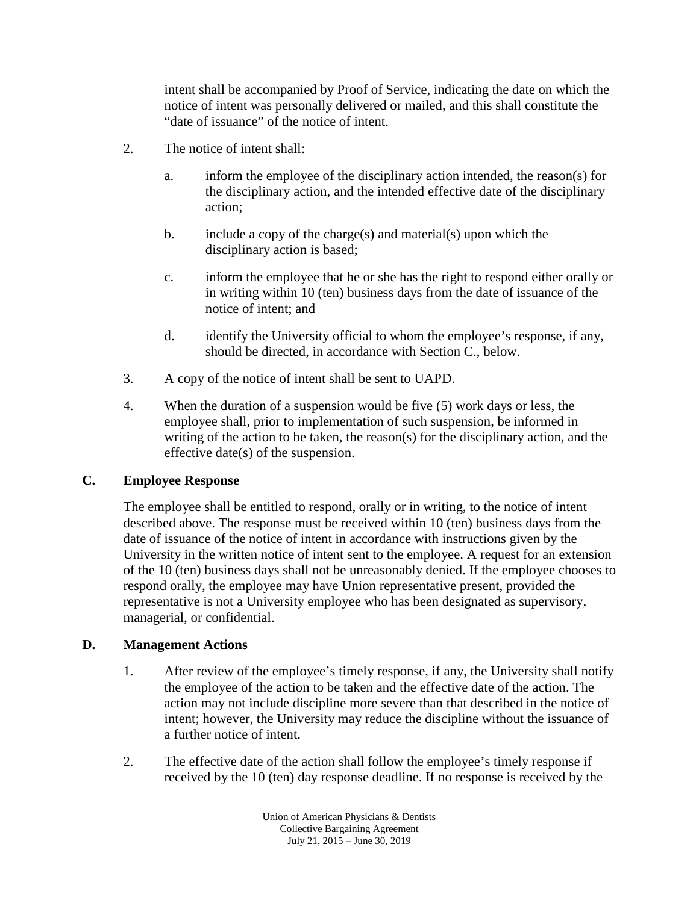intent shall be accompanied by Proof of Service, indicating the date on which the notice of intent was personally delivered or mailed, and this shall constitute the "date of issuance" of the notice of intent.

- 2. The notice of intent shall:
	- a. inform the employee of the disciplinary action intended, the reason(s) for the disciplinary action, and the intended effective date of the disciplinary action;
	- b. include a copy of the charge(s) and material(s) upon which the disciplinary action is based;
	- c. inform the employee that he or she has the right to respond either orally or in writing within 10 (ten) business days from the date of issuance of the notice of intent; and
	- d. identify the University official to whom the employee's response, if any, should be directed, in accordance with Section C., below.
- 3. A copy of the notice of intent shall be sent to UAPD.
- 4. When the duration of a suspension would be five (5) work days or less, the employee shall, prior to implementation of such suspension, be informed in writing of the action to be taken, the reason(s) for the disciplinary action, and the effective date(s) of the suspension.

## **C. Employee Response**

The employee shall be entitled to respond, orally or in writing, to the notice of intent described above. The response must be received within 10 (ten) business days from the date of issuance of the notice of intent in accordance with instructions given by the University in the written notice of intent sent to the employee. A request for an extension of the 10 (ten) business days shall not be unreasonably denied. If the employee chooses to respond orally, the employee may have Union representative present, provided the representative is not a University employee who has been designated as supervisory, managerial, or confidential.

## **D. Management Actions**

- 1. After review of the employee's timely response, if any, the University shall notify the employee of the action to be taken and the effective date of the action. The action may not include discipline more severe than that described in the notice of intent; however, the University may reduce the discipline without the issuance of a further notice of intent.
- 2. The effective date of the action shall follow the employee's timely response if received by the 10 (ten) day response deadline. If no response is received by the